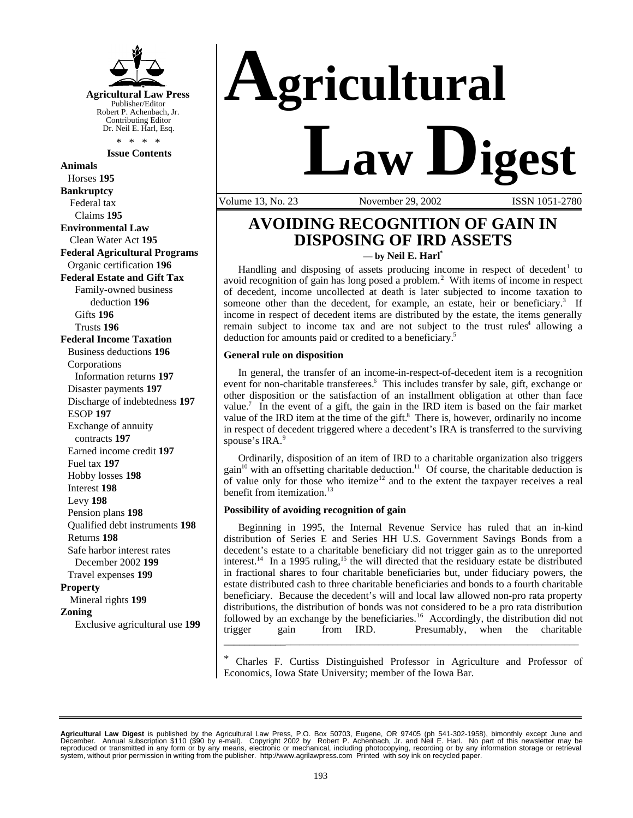

**Issue Contents**

**Animals** Horses **195 Bankruptcy** Federal tax Claims **195 Environmental Law** Clean Water Act **195 Federal Agricultural Programs** Organic certification **196 Federal Estate and Gift Tax** Family-owned business deduction **196** Gifts **196** Trusts **196 Federal Income Taxation** Business deductions **196** Corporations Information returns **197** Disaster payments **197** Discharge of indebtedness **197** ESOP **197** Exchange of annuity contracts **197** Earned income credit **197** Fuel tax **197** Hobby losses **198** Interest **198** Levy **198** Pension plans **198** Qualified debt instruments **198** Returns **198** Safe harbor interest rates December 2002 **199** Travel expenses **199 Property** Mineral rights **199 Zoning** Exclusive agricultural use **199**



Volume 13, No. 23 November 29, 2002 ISSN 1051-2780

## **AVOIDING RECOGNITION OF GAIN IN DISPOSING OF IRD ASSETS**

— **by Neil E. Harl\***

Handling and disposing of assets producing income in respect of decedent<sup>1</sup> to avoid recognition of gain has long posed a problem.<sup>2</sup> With items of income in respect of decedent, income uncollected at death is later subjected to income taxation to someone other than the decedent, for example, an estate, heir or beneficiary.<sup>3</sup> If income in respect of decedent items are distributed by the estate, the items generally remain subject to income tax and are not subject to the trust rules<sup>4</sup> allowing a deduction for amounts paid or credited to a beneficiary.<sup>5</sup>

## **General rule on disposition**

In general, the transfer of an income-in-respect-of-decedent item is a recognition event for non-charitable transferees.<sup>6</sup> This includes transfer by sale, gift, exchange or other disposition or the satisfaction of an installment obligation at other than face value.<sup>7</sup> In the event of a gift, the gain in the IRD item is based on the fair market value of the IRD item at the time of the gift.<sup>8</sup> There is, however, ordinarily no income in respect of decedent triggered where a decedent's IRA is transferred to the surviving spouse's IRA.<sup>9</sup>

Ordinarily, disposition of an item of IRD to a charitable organization also triggers  $gain^{10}$  with an offsetting charitable deduction.<sup>11</sup> Of course, the charitable deduction is of value only for those who itemize<sup>12</sup> and to the extent the taxpayer receives a real benefit from itemization.<sup>13</sup>

## **Possibility of avoiding recognition of gain**

Beginning in 1995, the Internal Revenue Service has ruled that an in-kind distribution of Series E and Series HH U.S. Government Savings Bonds from a decedent's estate to a charitable beneficiary did not trigger gain as to the unreported interest.<sup>14</sup> In a 1995 ruling,<sup>15</sup> the will directed that the residuary estate be distributed in fractional shares to four charitable beneficiaries but, under fiduciary powers, the estate distributed cash to three charitable beneficiaries and bonds to a fourth charitable beneficiary. Because the decedent's will and local law allowed non-pro rata property distributions, the distribution of bonds was not considered to be a pro rata distribution followed by an exchange by the beneficiaries.<sup>16</sup> Accordingly, the distribution did not trigger gain from IRD. Presumably, when the charitable

\* Charles F. Curtiss Distinguished Professor in Agriculture and Professor of Economics, Iowa State University; member of the Iowa Bar.

\_\_\_\_\_\_\_\_\_\_\_\_\_\_\_\_\_\_\_\_\_\_\_\_\_\_\_\_\_\_\_\_\_\_\_\_\_\_\_\_\_\_\_\_\_\_\_\_\_\_\_\_\_\_\_\_\_\_\_\_\_\_\_\_\_\_\_\_\_\_\_\_\_\_\_

**Agricultural Law Digest** is published by the Agricultural Law Press, P.O. Box 50703, Eugene, OR 97405 (ph 541-302-1958), bimonthly except June and<br>December. Annual subscription \$110 (\$90 by e-mail). Copyright 2002 by Robe